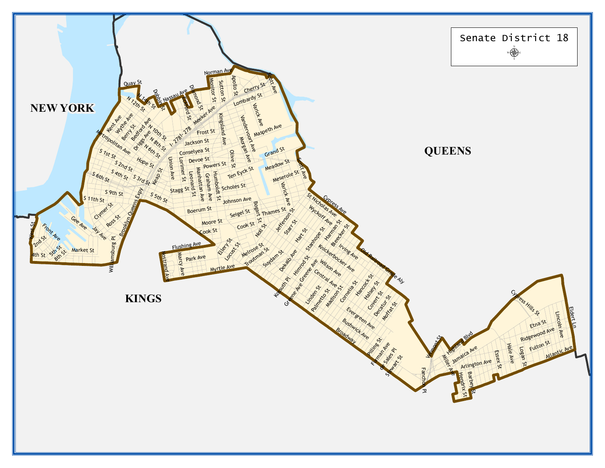